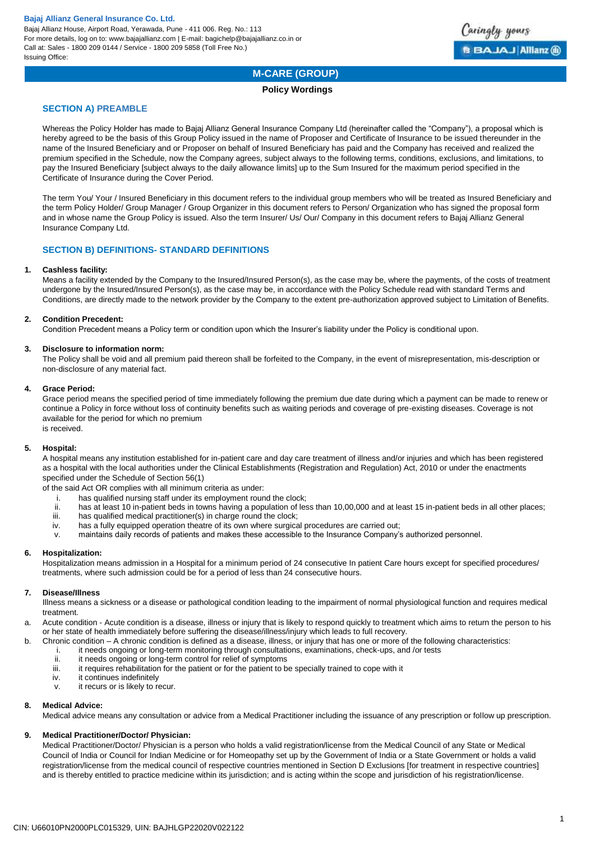Bajaj Allianz House, Airport Road, Yerawada, Pune - 411 006. Reg. No.: 113 For more details, log on to: www.bajajallianz.com | E-mail: bagichelp@bajajallianz.co.in or Call at: Sales - 1800 209 0144 / Service - 1800 209 5858 (Toll Free No.) Issuing Office:



# **M-CARE (GROUP)**

## **Policy Wordings**

# **SECTION A) PREAMBLE**

Whereas the Policy Holder has made to Bajaj Allianz General Insurance Company Ltd (hereinafter called the "Company"), a proposal which is hereby agreed to be the basis of this Group Policy issued in the name of Proposer and Certificate of Insurance to be issued thereunder in the name of the Insured Beneficiary and or Proposer on behalf of Insured Beneficiary has paid and the Company has received and realized the premium specified in the Schedule, now the Company agrees, subject always to the following terms, conditions, exclusions, and limitations, to pay the Insured Beneficiary [subject always to the daily allowance limits] up to the Sum Insured for the maximum period specified in the Certificate of Insurance during the Cover Period.

The term You/ Your / Insured Beneficiary in this document refers to the individual group members who will be treated as Insured Beneficiary and the term Policy Holder/ Group Manager / Group Organizer in this document refers to Person/ Organization who has signed the proposal form and in whose name the Group Policy is issued. Also the term Insurer/ Us/ Our/ Company in this document refers to Bajaj Allianz General Insurance Company Ltd.

# **SECTION B) DEFINITIONS- STANDARD DEFINITIONS**

#### **1. Cashless facility:**

Means a facility extended by the Company to the Insured/Insured Person(s), as the case may be, where the payments, of the costs of treatment undergone by the Insured/Insured Person(s), as the case may be, in accordance with the Policy Schedule read with standard Terms and Conditions, are directly made to the network provider by the Company to the extent pre-authorization approved subject to Limitation of Benefits.

## **2. Condition Precedent:**

Condition Precedent means a Policy term or condition upon which the Insurer's liability under the Policy is conditional upon.

#### **3. Disclosure to information norm:**

The Policy shall be void and all premium paid thereon shall be forfeited to the Company, in the event of misrepresentation, mis-description or non-disclosure of any material fact.

#### **4. Grace Period:**

Grace period means the specified period of time immediately following the premium due date during which a payment can be made to renew or continue a Policy in force without loss of continuity benefits such as waiting periods and coverage of pre-existing diseases. Coverage is not available for the period for which no premium is received.

## **5. Hospital:**

A hospital means any institution established for in-patient care and day care treatment of illness and/or injuries and which has been registered as a hospital with the local authorities under the Clinical Establishments (Registration and Regulation) Act, 2010 or under the enactments specified under the Schedule of Section 56(1)

of the said Act OR complies with all minimum criteria as under:

- i. has qualified nursing staff under its employment round the clock;
- ii. has at least 10 in-patient beds in towns having a population of less than 10,00,000 and at least 15 in-patient beds in all other places;
- iii. has qualified medical practitioner(s) in charge round the clock;
- iv. has a fully equipped operation theatre of its own where surgical procedures are carried out;
- v. maintains daily records of patients and makes these accessible to the Insurance Company's authorized personnel.

#### **6. Hospitalization:**

Hospitalization means admission in a Hospital for a minimum period of 24 consecutive In patient Care hours except for specified procedures/ treatments, where such admission could be for a period of less than 24 consecutive hours.

#### **7. Disease/Illness**

Illness means a sickness or a disease or pathological condition leading to the impairment of normal physiological function and requires medical treatment.

- a. Acute condition Acute condition is a disease, illness or injury that is likely to respond quickly to treatment which aims to return the person to his or her state of health immediately before suffering the disease/illness/injury which leads to full recovery.
- b. Chronic condition A chronic condition is defined as a disease, illness, or injury that has one or more of the following characteristics:
	- i. it needs ongoing or long-term monitoring through consultations, examinations, check-ups, and /or tests
	- ii. it needs ongoing or long-term control for relief of symptoms<br>iii it requires rehabilitation for the patient or for the patient to be
	- it requires rehabilitation for the patient or for the patient to be specially trained to cope with it
	- iv. it continues indefinitely
	- v. it recurs or is likely to recur.

## **8. Medical Advice:**

Medical advice means any consultation or advice from a Medical Practitioner including the issuance of any prescription or follow up prescription.

## **9. Medical Practitioner/Doctor/ Physician:**

Medical Practitioner/Doctor/ Physician is a person who holds a valid registration/license from the Medical Council of any State or Medical Council of India or Council for Indian Medicine or for Homeopathy set up by the Government of India or a State Government or holds a valid registration/license from the medical council of respective countries mentioned in Section D Exclusions [for treatment in respective countries] and is thereby entitled to practice medicine within its jurisdiction; and is acting within the scope and jurisdiction of his registration/license.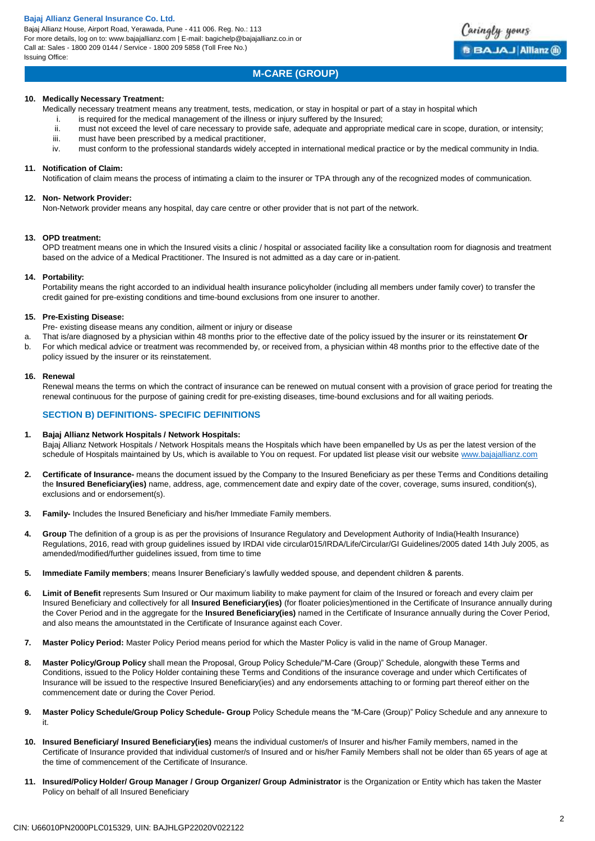Bajaj Allianz House, Airport Road, Yerawada, Pune - 411 006. Reg. No.: 113 For more details, log on to: www.bajajallianz.com | E-mail: bagichelp@bajajallianz.co.in or Call at: Sales - 1800 209 0144 / Service - 1800 209 5858 (Toll Free No.) Issuing Office:



# **M-CARE (GROUP)**

#### **10. Medically Necessary Treatment:**

Medically necessary treatment means any treatment, tests, medication, or stay in hospital or part of a stay in hospital which

- i. is required for the medical management of the illness or injury suffered by the Insured;
- ii. must not exceed the level of care necessary to provide safe, adequate and appropriate medical care in scope, duration, or intensity; iii. must have been prescribed by a medical practitioner,
- iv. must conform to the professional standards widely accepted in international medical practice or by the medical community in India.

#### **11. Notification of Claim:**

Notification of claim means the process of intimating a claim to the insurer or TPA through any of the recognized modes of communication.

#### **12. Non- Network Provider:**

Non-Network provider means any hospital, day care centre or other provider that is not part of the network.

#### **13. OPD treatment:**

OPD treatment means one in which the Insured visits a clinic / hospital or associated facility like a consultation room for diagnosis and treatment based on the advice of a Medical Practitioner. The Insured is not admitted as a day care or in-patient.

#### **14. Portability:**

Portability means the right accorded to an individual health insurance policyholder (including all members under family cover) to transfer the credit gained for pre-existing conditions and time-bound exclusions from one insurer to another.

#### **15. Pre-Existing Disease:**

- Pre- existing disease means any condition, ailment or injury or disease
- a. That is/are diagnosed by a physician within 48 months prior to the effective date of the policy issued by the insurer or its reinstatement **Or** b. For which medical advice or treatment was recommended by, or received from, a physician within 48 months prior to the effective date of the
- policy issued by the insurer or its reinstatement.

#### **16. Renewal**

Renewal means the terms on which the contract of insurance can be renewed on mutual consent with a provision of grace period for treating the renewal continuous for the purpose of gaining credit for pre-existing diseases, time-bound exclusions and for all waiting periods.

## **SECTION B) DEFINITIONS- SPECIFIC DEFINITIONS**

#### **1. Bajaj Allianz Network Hospitals / Network Hospitals:**

Bajaj Allianz Network Hospitals / Network Hospitals means the Hospitals which have been empanelled by Us as per the latest version of the schedule of Hospitals maintained by Us, which is available to You on request. For updated list please visit our websit[e www.bajajallianz.com](http://www.bajajallianz.com/)

- **2. Certificate of Insurance-** means the document issued by the Company to the Insured Beneficiary as per these Terms and Conditions detailing the **Insured Beneficiary(ies)** name, address, age, commencement date and expiry date of the cover, coverage, sums insured, condition(s), exclusions and or endorsement(s).
- **3. Family-** Includes the Insured Beneficiary and his/her Immediate Family members.
- **4. Group** The definition of a group is as per the provisions of Insurance Regulatory and Development Authority of India(Health Insurance) Regulations, 2016, read with group guidelines issued by IRDAI vide circular015/IRDA/Life/Circular/GI Guidelines/2005 dated 14th July 2005, as amended/modified/further guidelines issued, from time to time
- **5. Immediate Family members**; means Insurer Beneficiary's lawfully wedded spouse, and dependent children & parents.
- **6. Limit of Benefit** represents Sum Insured or Our maximum liability to make payment for claim of the Insured or foreach and every claim per Insured Beneficiary and collectively for all **Insured Beneficiary(ies)** (for floater policies)mentioned in the Certificate of Insurance annually during the Cover Period and in the aggregate for the **Insured Beneficiary(ies)** named in the Certificate of Insurance annually during the Cover Period, and also means the amountstated in the Certificate of Insurance against each Cover.
- **7. Master Policy Period:** Master Policy Period means period for which the Master Policy is valid in the name of Group Manager.
- **8. Master Policy/Group Policy** shall mean the Proposal, Group Policy Schedule/"M-Care (Group)" Schedule, alongwith these Terms and Conditions, issued to the Policy Holder containing these Terms and Conditions of the insurance coverage and under which Certificates of Insurance will be issued to the respective Insured Beneficiary(ies) and any endorsements attaching to or forming part thereof either on the commencement date or during the Cover Period.
- **9. Master Policy Schedule/Group Policy Schedule- Group** Policy Schedule means the "M-Care (Group)" Policy Schedule and any annexure to it.
- **10. Insured Beneficiary/ Insured Beneficiary(ies)** means the individual customer/s of Insurer and his/her Family members, named in the Certificate of Insurance provided that individual customer/s of Insured and or his/her Family Members shall not be older than 65 years of age at the time of commencement of the Certificate of Insurance.
- **11. Insured/Policy Holder/ Group Manager / Group Organizer/ Group Administrator** is the Organization or Entity which has taken the Master Policy on behalf of all Insured Beneficiary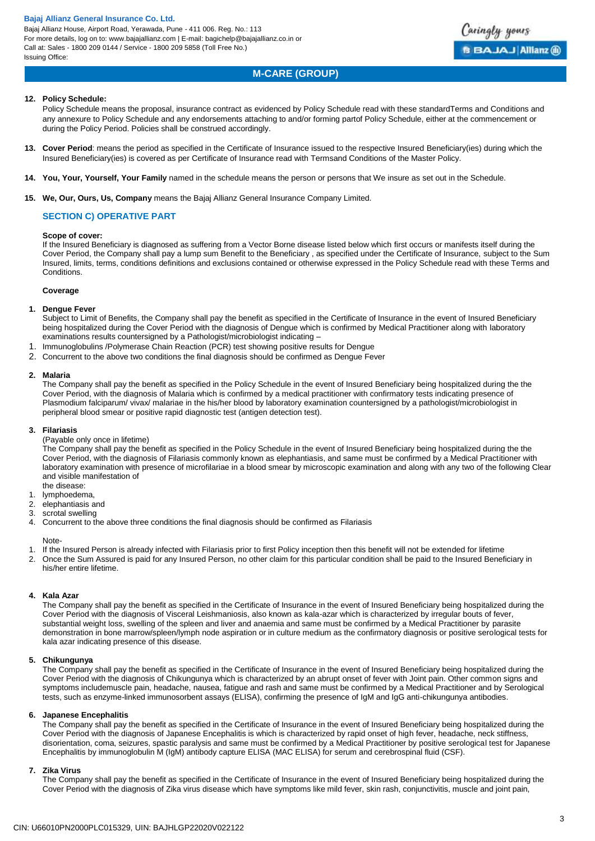Bajaj Allianz House, Airport Road, Yerawada, Pune - 411 006. Reg. No.: 113 For more details, log on to: www.bajajallianz.com | E-mail: bagichelp@bajajallianz.co.in or Call at: Sales - 1800 209 0144 / Service - 1800 209 5858 (Toll Free No.) Issuing Office:

# **M-CARE (GROUP)**

Caringly yours

**BBAJAJ Allianz ®** 

## **12. Policy Schedule:**

Policy Schedule means the proposal, insurance contract as evidenced by Policy Schedule read with these standardTerms and Conditions and any annexure to Policy Schedule and any endorsements attaching to and/or forming partof Policy Schedule, either at the commencement or during the Policy Period. Policies shall be construed accordingly.

- **13. Cover Period**: means the period as specified in the Certificate of Insurance issued to the respective Insured Beneficiary(ies) during which the Insured Beneficiary(ies) is covered as per Certificate of Insurance read with Termsand Conditions of the Master Policy.
- **14. You, Your, Yourself, Your Family** named in the schedule means the person or persons that We insure as set out in the Schedule.
- **15. We, Our, Ours, Us, Company** means the Bajaj Allianz General Insurance Company Limited.

## **SECTION C) OPERATIVE PART**

#### **Scope of cover:**

If the Insured Beneficiary is diagnosed as suffering from a Vector Borne disease listed below which first occurs or manifests itself during the Cover Period, the Company shall pay a lump sum Benefit to the Beneficiary , as specified under the Certificate of Insurance, subject to the Sum Insured, limits, terms, conditions definitions and exclusions contained or otherwise expressed in the Policy Schedule read with these Terms and Conditions.

#### **Coverage**

## **1. Dengue Fever**

Subject to Limit of Benefits, the Company shall pay the benefit as specified in the Certificate of Insurance in the event of Insured Beneficiary being hospitalized during the Cover Period with the diagnosis of Dengue which is confirmed by Medical Practitioner along with laboratory examinations results countersigned by a Pathologist/microbiologist indicating -

- 1. Immunoglobulins /Polymerase Chain Reaction (PCR) test showing positive results for Dengue
- 2. Concurrent to the above two conditions the final diagnosis should be confirmed as Dengue Fever

#### **2. Malaria**

The Company shall pay the benefit as specified in the Policy Schedule in the event of Insured Beneficiary being hospitalized during the the Cover Period, with the diagnosis of Malaria which is confirmed by a medical practitioner with confirmatory tests indicating presence of Plasmodium falciparum/ vivax/ malariae in the his/her blood by laboratory examination countersigned by a pathologist/microbiologist in peripheral blood smear or positive rapid diagnostic test (antigen detection test).

#### **3. Filariasis**

(Payable only once in lifetime)

The Company shall pay the benefit as specified in the Policy Schedule in the event of Insured Beneficiary being hospitalized during the the Cover Period, with the diagnosis of Filariasis commonly known as elephantiasis, and same must be confirmed by a Medical Practitioner with laboratory examination with presence of microfilariae in a blood smear by microscopic examination and along with any two of the following Clear and visible manifestation of

- the disease:
- 1. lymphoedema,
- 2. elephantiasis and
- 3. scrotal swelling
- 4. Concurrent to the above three conditions the final diagnosis should be confirmed as Filariasis

Note-

- 1. If the Insured Person is already infected with Filariasis prior to first Policy inception then this benefit will not be extended for lifetime
- 2. Once the Sum Assured is paid for any Insured Person, no other claim for this particular condition shall be paid to the Insured Beneficiary in his/her entire lifetime.

## **4. Kala Azar**

The Company shall pay the benefit as specified in the Certificate of Insurance in the event of Insured Beneficiary being hospitalized during the Cover Period with the diagnosis of Visceral Leishmaniosis, also known as kala-azar which is characterized by irregular bouts of fever, substantial weight loss, swelling of the spleen and liver and anaemia and same must be confirmed by a Medical Practitioner by parasite demonstration in bone marrow/spleen/lymph node aspiration or in culture medium as the confirmatory diagnosis or positive serological tests for kala azar indicating presence of this disease.

#### **5. Chikungunya**

The Company shall pay the benefit as specified in the Certificate of Insurance in the event of Insured Beneficiary being hospitalized during the Cover Period with the diagnosis of Chikungunya which is characterized by an abrupt onset of fever with Joint pain. Other common signs and symptoms includemuscle pain, headache, nausea, fatigue and rash and same must be confirmed by a Medical Practitioner and by Serological tests, such as enzyme-linked immunosorbent assays (ELISA), confirming the presence of IgM and IgG anti-chikungunya antibodies.

#### **6. Japanese Encephalitis**

The Company shall pay the benefit as specified in the Certificate of Insurance in the event of Insured Beneficiary being hospitalized during the Cover Period with the diagnosis of Japanese Encephalitis is which is characterized by rapid onset of high fever, headache, neck stiffness, disorientation, coma, seizures, spastic paralysis and same must be confirmed by a Medical Practitioner by positive serological test for Japanese Encephalitis by immunoglobulin M (IgM) antibody capture ELISA (MAC ELISA) for serum and cerebrospinal fluid (CSF).

## **7. Zika Virus**

The Company shall pay the benefit as specified in the Certificate of Insurance in the event of Insured Beneficiary being hospitalized during the Cover Period with the diagnosis of Zika virus disease which have symptoms like mild fever, skin rash, conjunctivitis, muscle and joint pain,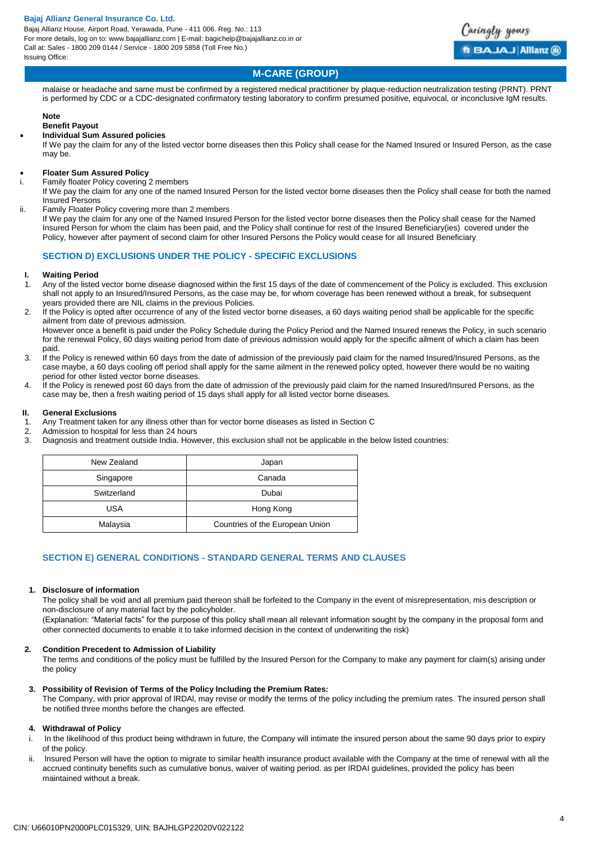Bajaj Allianz House, Airport Road, Yerawada, Pune - 411 006. Reg. No.: 113 For more details, log on to: www.bajajallianz.com | E-mail: bagichelp@bajajallianz.co.in or Call at: Sales - 1800 209 0144 / Service - 1800 209 5858 (Toll Free No.) Issuing Office:



# **M-CARE (GROUP)**

malaise or headache and same must be confirmed by a registered medical practitioner by plaque-reduction neutralization testing (PRNT). PRNT is performed by CDC or a CDC-designated confirmatory testing laboratory to confirm presumed positive, equivocal, or inconclusive IgM results.

#### **Note**

# **Benefit Payout**

# **Individual Sum Assured policies**

If We pay the claim for any of the listed vector borne diseases then this Policy shall cease for the Named Insured or Insured Person, as the case may be.

#### **Floater Sum Assured Policy**

Family floater Policy covering 2 members

If We pay the claim for any one of the named Insured Person for the listed vector borne diseases then the Policy shall cease for both the named Insured Persons

ii. Family Floater Policy covering more than 2 members

If We pay the claim for any one of the Named Insured Person for the listed vector borne diseases then the Policy shall cease for the Named Insured Person for whom the claim has been paid, and the Policy shall continue for rest of the Insured Beneficiary(ies) covered under the Policy, however after payment of second claim for other Insured Persons the Policy would cease for all Insured Beneficiary

## **SECTION D) EXCLUSIONS UNDER THE POLICY - SPECIFIC EXCLUSIONS**

# **I. Waiting Period**

- 1. Any of the listed vector borne disease diagnosed within the first 15 days of the date of commencement of the Policy is excluded. This exclusion shall not apply to an Insured/Insured Persons, as the case may be, for whom coverage has been renewed without a break, for subsequent years provided there are NIL claims in the previous Policies.
- 2. If the Policy is opted after occurrence of any of the listed vector borne diseases, a 60 days waiting period shall be applicable for the specific ailment from date of previous admission.

However once a benefit is paid under the Policy Schedule during the Policy Period and the Named Insured renews the Policy, in such scenario for the renewal Policy, 60 days waiting period from date of previous admission would apply for the specific ailment of which a claim has been paid.

- 3. If the Policy is renewed within 60 days from the date of admission of the previously paid claim for the named Insured/Insured Persons, as the case maybe, a 60 days cooling off period shall apply for the same ailment in the renewed policy opted, however there would be no waiting period for other listed vector borne diseases.
- 4. If the Policy is renewed post 60 days from the date of admission of the previously paid claim for the named Insured/Insured Persons, as the case may be, then a fresh waiting period of 15 days shall apply for all listed vector borne diseases.

## **II. General Exclusions**

- 1. Any Treatment taken for any illness other than for vector borne diseases as listed in Section C
- 2. Admission to hospital for less than 24 hours
- 3. Diagnosis and treatment outside India. However, this exclusion shall not be applicable in the below listed countries:

| New Zealand | Japan                           |
|-------------|---------------------------------|
| Singapore   | Canada                          |
| Switzerland | Dubai                           |
| USA         | Hong Kong                       |
| Malaysia    | Countries of the European Union |

# **SECTION E) GENERAL CONDITIONS - STANDARD GENERAL TERMS AND CLAUSES**

#### **1. Disclosure of information**

The policy shall be void and all premium paid thereon shall be forfeited to the Company in the event of misrepresentation, mis description or non-disclosure of any material fact by the policyholder.

(Explanation: "Material facts" for the purpose of this policy shall mean all relevant information sought by the company in the proposal form and other connected documents to enable it to take informed decision in the context of underwriting the risk)

#### **2. Condition Precedent to Admission of Liability**

The terms and conditions of the policy must be fulfilled by the Insured Person for the Company to make any payment for claim(s) arising under the policy

#### **3. Possibility of Revision of Terms of the Policy lncluding the Premium Rates:**

The Company, with prior approval of lRDAl, may revise or modify the terms of the policy including the premium rates. The insured person shall be notified three months before the changes are effected.

## **4. Withdrawal of Policy**

- i. ln the likelihood of this product being withdrawn in future, the Company will intimate the insured person about the same 90 days prior to expiry of the policy.
- ii. lnsured Person will have the option to migrate to similar health insurance product available with the Company at the time of renewal with all the accrued continuity benefits such as cumulative bonus, waiver of waiting period. as per IRDAI guidelines, provided the policy has been maintained without a break.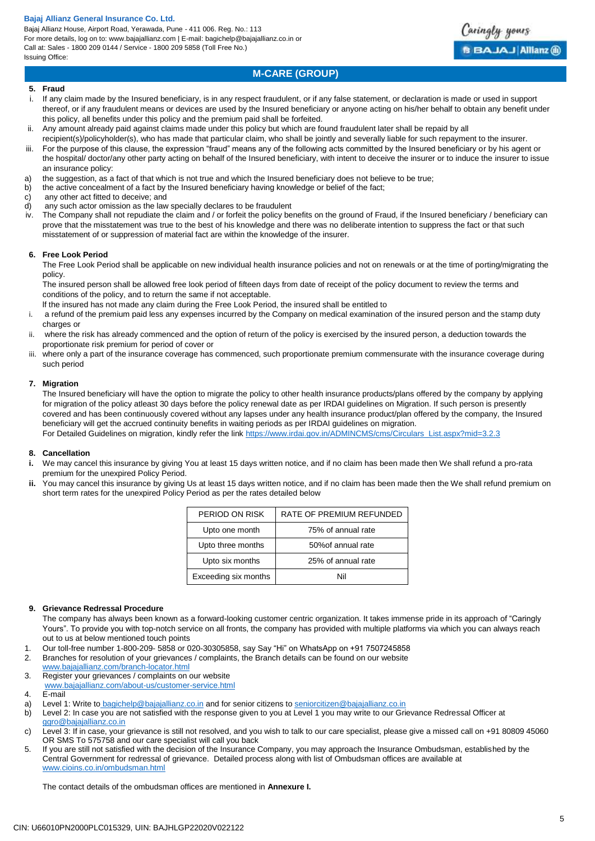Bajaj Allianz House, Airport Road, Yerawada, Pune - 411 006. Reg. No.: 113 For more details, log on to: www.bajajallianz.com | E-mail: bagichelp@bajajallianz.co.in or Call at: Sales - 1800 209 0144 / Service - 1800 209 5858 (Toll Free No.) Issuing Office:

# **M-CARE (GROUP)**

#### **5. Fraud**

- i. If any claim made by the Insured beneficiary, is in any respect fraudulent, or if any false statement, or declaration is made or used in support thereof, or if any fraudulent means or devices are used by the Insured beneficiary or anyone acting on his/her behalf to obtain any benefit under this policy, all benefits under this policy and the premium paid shall be forfeited.
- ii. Any amount already paid against claims made under this policy but which are found fraudulent later shall be repaid by all
- recipient(s)/policyholder(s), who has made that particular claim, who shall be jointly and severally liable for such repayment to the insurer.
- iii. For the purpose of this clause, the expression "fraud" means any of the following acts committed by the Insured beneficiary or by his agent or the hospital/ doctor/any other party acting on behalf of the Insured beneficiary, with intent to deceive the insurer or to induce the insurer to issue an insurance policy:
- a) the suggestion, as a fact of that which is not true and which the Insured beneficiary does not believe to be true;
- b) the active concealment of a fact by the Insured beneficiary having knowledge or belief of the fact;
- c) any other act fitted to deceive; and
- d) any such actor omission as the law specially declares to be fraudulent
- The Company shall not repudiate the claim and / or forfeit the policy benefits on the ground of Fraud, if the Insured beneficiary / beneficiary can prove that the misstatement was true to the best of his knowledge and there was no deliberate intention to suppress the fact or that such misstatement of or suppression of material fact are within the knowledge of the insurer.

#### **6. Free Look Period**

The Free Look Period shall be applicable on new individual health insurance policies and not on renewals or at the time of porting/migrating the policy.

The insured person shall be allowed free look period of fifteen days from date of receipt of the policy document to review the terms and conditions of the policy, and to return the same if not acceptable.

lf the insured has not made any claim during the Free Look Period, the insured shall be entitled to

- i. a refund of the premium paid less any expenses incurred by the Company on medical examination of the insured person and the stamp duty charges or
- ii. where the risk has already commenced and the option of return of the policy is exercised by the insured person, a deduction towards the proportionate risk premium for period of cover or
- iii. where only a part of the insurance coverage has commenced, such proportionate premium commensurate with the insurance coverage during such period

#### **7. Migration**

The Insured beneficiary will have the option to migrate the policy to other health insurance products/plans offered by the company by applying for migration of the policy atleast 30 days before the policy renewal date as per IRDAI guidelines on Migration. If such person is presently covered and has been continuously covered without any lapses under any health insurance product/plan offered by the company, the Insured beneficiary will get the accrued continuity benefits in waiting periods as per IRDAI guidelines on migration. For Detailed Guidelines on migration, kindly refer the link [https://www.irdai.gov.in/ADMINCMS/cms/Circulars\\_List.aspx?mid=3.2.3](https://www.irdai.gov.in/ADMINCMS/cms/Circulars_List.aspx?mid=3.2.3)

#### **8. Cancellation**

- **i.** We may cancel this insurance by giving You at least 15 days written notice, and if no claim has been made then We shall refund a pro-rata premium for the unexpired Policy Period.
- **ii.** You may cancel this insurance by giving Us at least 15 days written notice, and if no claim has been made then the We shall refund premium on short term rates for the unexpired Policy Period as per the rates detailed below

| PERIOD ON RISK       | RATE OF PREMIUM REFUNDED |
|----------------------|--------------------------|
| Upto one month       | 75% of annual rate       |
| Upto three months    | 50% of annual rate       |
| Upto six months      | 25% of annual rate       |
| Exceeding six months | Nil                      |

## **9. Grievance Redressal Procedure**

The company has always been known as a forward-looking customer centric organization. It takes immense pride in its approach of "Caringly Yours". To provide you with top-notch service on all fronts, the company has provided with multiple platforms via which you can always reach out to us at below mentioned touch points

- 1. Our toll-free number 1-800-209- 5858 or 020-30305858, say Say "Hi" on WhatsApp on +91 7507245858
- 2. Branches for resolution of your grievances / complaints, the Branch details can be found on our website

[www.bajajallianz.com/branch-locator.html](http://www.bajajallianz.com/branch-locator.html)

- 3. Register your grievances / complaints on our website
- [www.bajajallianz.com/about-us/customer-service.html](http://www.bajajallianz.com/about-us/customer-service.html)
- 4. E-mail<br>a) Level 1
- Level 1: Write to [bagichelp@bajajallianz.co.in](mailto:bagichelp@bajajallianz.co.in) and for senior citizens to [seniorcitizen@bajajallianz.co.in](mailto:seniorcitizen@bajajallianz.co.in)
- b) Level 2: In case you are not satisfied with the response given to you at Level 1 you may write to our Grievance Redressal Officer at [ggro@bajajallianz.co.in](mailto:ggro@bajajallianz.co.in)
- c) Level 3: If in case, your grievance is still not resolved, and you wish to talk to our care specialist, please give a missed call on +91 80809 45060 OR SMS To 575758 and our care specialist will call you back
- 5. If you are still not satisfied with the decision of the Insurance Company, you may approach the Insurance Ombudsman, established by the Central Government for redressal of grievance. Detailed process along with list of Ombudsman offices are available at [www.cioins.co.in/ombudsman.html](http://www.cioins.co.in/ombudsman.html)

The contact details of the ombudsman offices are mentioned in **Annexure I.** 

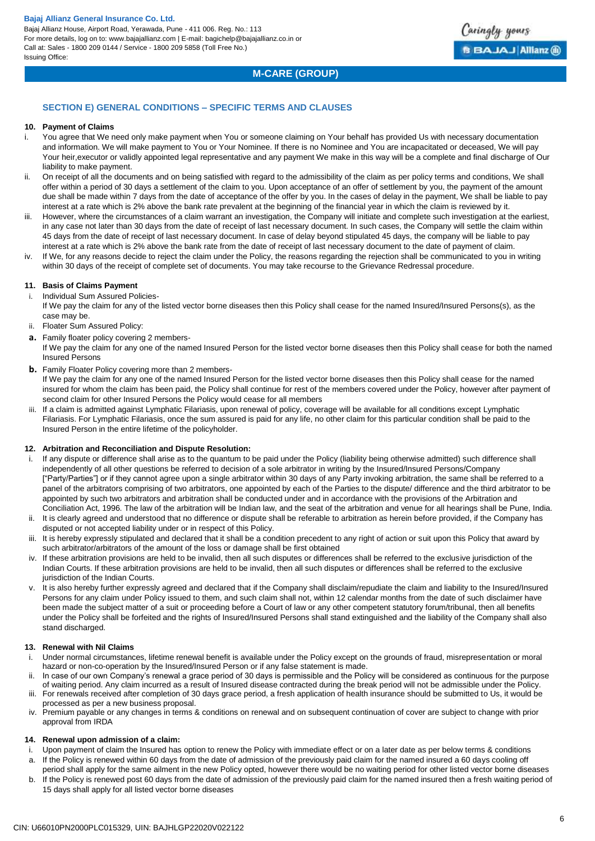Bajaj Allianz House, Airport Road, Yerawada, Pune - 411 006. Reg. No.: 113 For more details, log on to: www.bajajallianz.com | E-mail: bagichelp@bajajallianz.co.in or Call at: Sales - 1800 209 0144 / Service - 1800 209 5858 (Toll Free No.) Issuing Office:



# **M-CARE (GROUP)**

# **SECTION E) GENERAL CONDITIONS – SPECIFIC TERMS AND CLAUSES**

#### **10. Payment of Claims**

- i. You agree that We need only make payment when You or someone claiming on Your behalf has provided Us with necessary documentation and information. We will make payment to You or Your Nominee. If there is no Nominee and You are incapacitated or deceased, We will pay Your heir,executor or validly appointed legal representative and any payment We make in this way will be a complete and final discharge of Our liability to make payment.
- On receipt of all the documents and on being satisfied with regard to the admissibility of the claim as per policy terms and conditions, We shall offer within a period of 30 days a settlement of the claim to you. Upon acceptance of an offer of settlement by you, the payment of the amount due shall be made within 7 days from the date of acceptance of the offer by you. In the cases of delay in the payment, We shall be liable to pay interest at a rate which is 2% above the bank rate prevalent at the beginning of the financial year in which the claim is reviewed by it.
- iii. However, where the circumstances of a claim warrant an investigation, the Company will initiate and complete such investigation at the earliest, in any case not later than 30 days from the date of receipt of last necessary document. In such cases, the Company will settle the claim within 45 days from the date of receipt of last necessary document. In case of delay beyond stipulated 45 days, the company will be liable to pay interest at a rate which is 2% above the bank rate from the date of receipt of last necessary document to the date of payment of claim.
- iv. If We, for any reasons decide to reject the claim under the Policy, the reasons regarding the rejection shall be communicated to you in writing within 30 days of the receipt of complete set of documents. You may take recourse to the Grievance Redressal procedure.

#### **11. Basis of Claims Payment**

i. Individual Sum Assured Policies-

If We pay the claim for any of the listed vector borne diseases then this Policy shall cease for the named Insured/Insured Persons(s), as the case may be.

- ii. Floater Sum Assured Policy:
- **a.** Family floater policy covering 2 members-

If We pay the claim for any one of the named Insured Person for the listed vector borne diseases then this Policy shall cease for both the named Insured Persons

**b.** Family Floater Policy covering more than 2 members-

If We pay the claim for any one of the named Insured Person for the listed vector borne diseases then this Policy shall cease for the named insured for whom the claim has been paid, the Policy shall continue for rest of the members covered under the Policy, however after payment of second claim for other Insured Persons the Policy would cease for all members

If a claim is admitted against Lymphatic Filariasis, upon renewal of policy, coverage will be available for all conditions except Lymphatic Filariasis. For Lymphatic Filariasis, once the sum assured is paid for any life, no other claim for this particular condition shall be paid to the Insured Person in the entire lifetime of the policyholder.

#### **12. Arbitration and Reconciliation and Dispute Resolution:**

- If any dispute or difference shall arise as to the quantum to be paid under the Policy (liability being otherwise admitted) such difference shall independently of all other questions be referred to decision of a sole arbitrator in writing by the Insured/Insured Persons/Company ["Party/Parties"] or if they cannot agree upon a single arbitrator within 30 days of any Party invoking arbitration, the same shall be referred to a panel of the arbitrators comprising of two arbitrators, one appointed by each of the Parties to the dispute/ difference and the third arbitrator to be appointed by such two arbitrators and arbitration shall be conducted under and in accordance with the provisions of the Arbitration and Conciliation Act, 1996. The law of the arbitration will be Indian law, and the seat of the arbitration and venue for all hearings shall be Pune, India.
- ii. It is clearly agreed and understood that no difference or dispute shall be referable to arbitration as herein before provided, if the Company has disputed or not accepted liability under or in respect of this Policy.
- iii. It is hereby expressly stipulated and declared that it shall be a condition precedent to any right of action or suit upon this Policy that award by such arbitrator/arbitrators of the amount of the loss or damage shall be first obtained
- iv. If these arbitration provisions are held to be invalid, then all such disputes or differences shall be referred to the exclusive jurisdiction of the Indian Courts. If these arbitration provisions are held to be invalid, then all such disputes or differences shall be referred to the exclusive jurisdiction of the Indian Courts.
- v. It is also hereby further expressly agreed and declared that if the Company shall disclaim/repudiate the claim and liability to the Insured/Insured Persons for any claim under Policy issued to them, and such claim shall not, within 12 calendar months from the date of such disclaimer have been made the subject matter of a suit or proceeding before a Court of law or any other competent statutory forum/tribunal, then all benefits under the Policy shall be forfeited and the rights of Insured/Insured Persons shall stand extinguished and the liability of the Company shall also stand discharged.

#### **13. Renewal with Nil Claims**

- i. Under normal circumstances, lifetime renewal benefit is available under the Policy except on the grounds of fraud, misrepresentation or moral hazard or non-co-operation by the Insured/Insured Person or if any false statement is made.
- In case of our own Company's renewal a grace period of 30 days is permissible and the Policy will be considered as continuous for the purpose of waiting period. Any claim incurred as a result of Insured disease contracted during the break period will not be admissible under the Policy.
- iii. For renewals received after completion of 30 days grace period, a fresh application of health insurance should be submitted to Us, it would be processed as per a new business proposal.
- Premium payable or any changes in terms & conditions on renewal and on subsequent continuation of cover are subject to change with prior approval from IRDA

## **14. Renewal upon admission of a claim:**

- i. Upon payment of claim the Insured has option to renew the Policy with immediate effect or on a later date as per below terms & conditions a. If the Policy is renewed within 60 days from the date of admission of the previously paid claim for the named insured a 60 days cooling off
- period shall apply for the same ailment in the new Policy opted, however there would be no waiting period for other listed vector borne diseases If the Policy is renewed post 60 days from the date of admission of the previously paid claim for the named insured then a fresh waiting period of 15 days shall apply for all listed vector borne diseases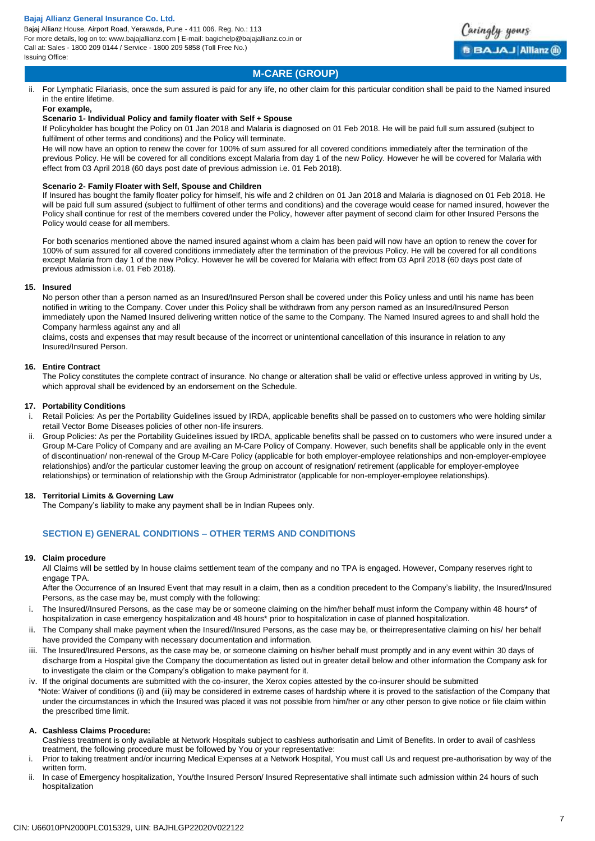Bajaj Allianz House, Airport Road, Yerawada, Pune - 411 006. Reg. No.: 113 For more details, log on to: www.bajajallianz.com | E-mail: bagichelp@bajajallianz.co.in or Call at: Sales - 1800 209 0144 / Service - 1800 209 5858 (Toll Free No.) Issuing Office:



# **M-CARE (GROUP)**

ii. For Lymphatic Filariasis, once the sum assured is paid for any life, no other claim for this particular condition shall be paid to the Named insured in the entire lifetime.

### **For example,**

## **Scenario 1- Individual Policy and family floater with Self + Spouse**

If Policyholder has bought the Policy on 01 Jan 2018 and Malaria is diagnosed on 01 Feb 2018. He will be paid full sum assured (subject to fulfilment of other terms and conditions) and the Policy will terminate.

He will now have an option to renew the cover for 100% of sum assured for all covered conditions immediately after the termination of the previous Policy. He will be covered for all conditions except Malaria from day 1 of the new Policy. However he will be covered for Malaria with effect from 03 April 2018 (60 days post date of previous admission i.e. 01 Feb 2018).

## **Scenario 2- Family Floater with Self, Spouse and Children**

If Insured has bought the family floater policy for himself, his wife and 2 children on 01 Jan 2018 and Malaria is diagnosed on 01 Feb 2018. He will be paid full sum assured (subject to fulfilment of other terms and conditions) and the coverage would cease for named insured, however the Policy shall continue for rest of the members covered under the Policy, however after payment of second claim for other Insured Persons the Policy would cease for all members.

For both scenarios mentioned above the named insured against whom a claim has been paid will now have an option to renew the cover for 100% of sum assured for all covered conditions immediately after the termination of the previous Policy. He will be covered for all conditions except Malaria from day 1 of the new Policy. However he will be covered for Malaria with effect from 03 April 2018 (60 days post date of previous admission i.e. 01 Feb 2018).

## **15. Insured**

No person other than a person named as an Insured/Insured Person shall be covered under this Policy unless and until his name has been notified in writing to the Company. Cover under this Policy shall be withdrawn from any person named as an Insured/Insured Person immediately upon the Named Insured delivering written notice of the same to the Company. The Named Insured agrees to and shall hold the Company harmless against any and all

claims, costs and expenses that may result because of the incorrect or unintentional cancellation of this insurance in relation to any Insured/Insured Person.

## **16. Entire Contract**

The Policy constitutes the complete contract of insurance. No change or alteration shall be valid or effective unless approved in writing by Us, which approval shall be evidenced by an endorsement on the Schedule.

## **17. Portability Conditions**

- i. Retail Policies: As per the Portability Guidelines issued by IRDA, applicable benefits shall be passed on to customers who were holding similar retail Vector Borne Diseases policies of other non-life insurers.
- ii. Group Policies: As per the Portability Guidelines issued by IRDA, applicable benefits shall be passed on to customers who were insured under a Group M-Care Policy of Company and are availing an M-Care Policy of Company. However, such benefits shall be applicable only in the event of discontinuation/ non-renewal of the Group M-Care Policy (applicable for both employer-employee relationships and non-employer-employee relationships) and/or the particular customer leaving the group on account of resignation/ retirement (applicable for employer-employee relationships) or termination of relationship with the Group Administrator (applicable for non-employer-employee relationships).

# **18. Territorial Limits & Governing Law**

The Company's liability to make any payment shall be in Indian Rupees only.

# **SECTION E) GENERAL CONDITIONS – OTHER TERMS AND CONDITIONS**

## **19. Claim procedure**

All Claims will be settled by In house claims settlement team of the company and no TPA is engaged. However, Company reserves right to engage TPA

After the Occurrence of an Insured Event that may result in a claim, then as a condition precedent to the Company's liability, the Insured/Insured Persons, as the case may be, must comply with the following:

- i. The Insured//Insured Persons, as the case may be or someone claiming on the him/her behalf must inform the Company within 48 hours\* of hospitalization in case emergency hospitalization and 48 hours\* prior to hospitalization in case of planned hospitalization.
- ii. The Company shall make payment when the Insured//Insured Persons, as the case may be, or theirrepresentative claiming on his/ her behalf have provided the Company with necessary documentation and information.
- iii. The Insured/Insured Persons, as the case may be, or someone claiming on his/her behalf must promptly and in any event within 30 days of discharge from a Hospital give the Company the documentation as listed out in greater detail below and other information the Company ask for to investigate the claim or the Company's obligation to make payment for it.
- iv. If the original documents are submitted with the co-insurer, the Xerox copies attested by the co-insurer should be submitted \*Note: Waiver of conditions (i) and (iii) may be considered in extreme cases of hardship where it is proved to the satisfaction of the Company that under the circumstances in which the Insured was placed it was not possible from him/her or any other person to give notice or file claim within the prescribed time limit.

## **A. Cashless Claims Procedure:**

Cashless treatment is only available at Network Hospitals subject to cashless authorisatin and Limit of Benefits. In order to avail of cashless treatment, the following procedure must be followed by You or your representative:

- i. Prior to taking treatment and/or incurring Medical Expenses at a Network Hospital, You must call Us and request pre-authorisation by way of the written form.
- ii. In case of Emergency hospitalization, You/the Insured Person/ Insured Representative shall intimate such admission within 24 hours of such hospitalization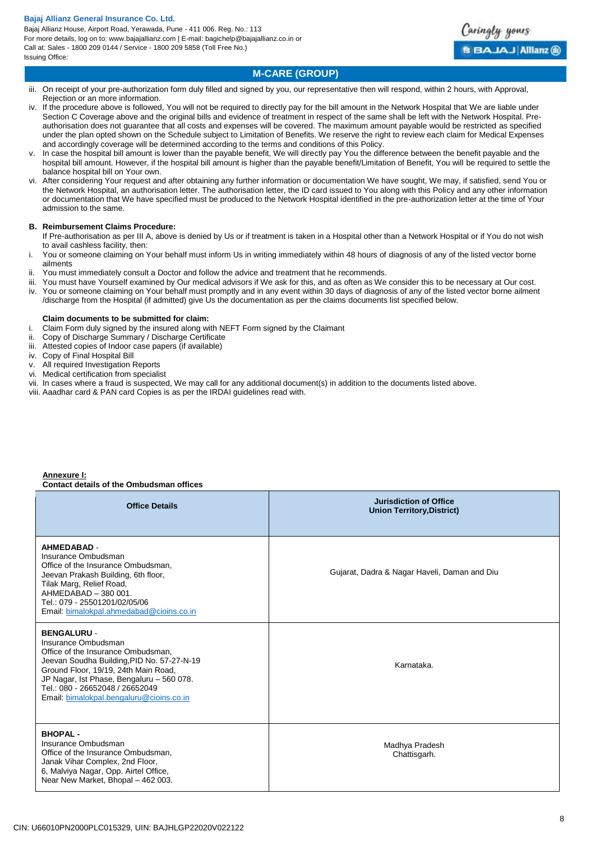Bajaj Allianz House, Airport Road, Yerawada, Pune - 411 006. Reg. No.: 113 For more details, log on to: www.bajajallianz.com | E-mail: bagichelp@bajajallianz.co.in or Call at: Sales - 1800 209 0144 / Service - 1800 209 5858 (Toll Free No.) Issuing Office:



# **M-CARE (GROUP)**

- iii. On receipt of your pre-authorization form duly filled and signed by you, our representative then will respond, within 2 hours, with Approval, Rejection or an more information.
- If the procedure above is followed. You will not be required to directly pay for the bill amount in the Network Hospital that We are liable under Section C Coverage above and the original bills and evidence of treatment in respect of the same shall be left with the Network Hospital. Preauthorisation does not guarantee that all costs and expenses will be covered. The maximum amount payable would be restricted as specified under the plan opted shown on the Schedule subject to Limitation of Benefits. We reserve the right to review each claim for Medical Expenses and accordingly coverage will be determined according to the terms and conditions of this Policy.
- In case the hospital bill amount is lower than the payable benefit, We will directly pay You the difference between the benefit payable and the hospital bill amount. However, if the hospital bill amount is higher than the payable benefit/Limitation of Benefit, You will be required to settle the balance hospital bill on Your own.
- vi. After considering Your request and after obtaining any further information or documentation We have sought, We may, if satisfied, send You or the Network Hospital, an authorisation letter. The authorisation letter, the ID card issued to You along with this Policy and any other information or documentation that We have specified must be produced to the Network Hospital identified in the pre-authorization letter at the time of Your admission to the same.

## **B. Reimbursement Claims Procedure:**

- If Pre-authorisation as per III A, above is denied by Us or if treatment is taken in a Hospital other than a Network Hospital or if You do not wish to avail cashless facility, then:
- i. You or someone claiming on Your behalf must inform Us in writing immediately within 48 hours of diagnosis of any of the listed vector borne ailments
- ii. You must immediately consult a Doctor and follow the advice and treatment that he recommends.
- iii. You must have Yourself examined by Our medical advisors if We ask for this, and as often as We consider this to be necessary at Our cost.
- iv. You or someone claiming on Your behalf must promptly and in any event within 30 days of diagnosis of any of the listed vector borne ailment /discharge from the Hospital (if admitted) give Us the documentation as per the claims documents list specified below.

#### **Claim documents to be submitted for claim:**

- i. Claim Form duly signed by the insured along with NEFT Form signed by the Claimant
- ii. Copy of Discharge Summary / Discharge Certificate
- iii. Attested copies of Indoor case papers (if available)
- iv. Copy of Final Hospital Bill
- v. All required Investigation Reports
- vi. Medical certification from specialist
- vii. In cases where a fraud is suspected, We may call for any additional document(s) in addition to the documents listed above.
- viii. Aaadhar card & PAN card Copies is as per the IRDAI guidelines read with.

#### **Annexure I: Contact details of the Ombudsman offices**

| <b>Office Details</b>                                                                                                                                                                                                                                                                             | <b>Jurisdiction of Office</b><br><b>Union Territory, District)</b> |
|---------------------------------------------------------------------------------------------------------------------------------------------------------------------------------------------------------------------------------------------------------------------------------------------------|--------------------------------------------------------------------|
| <b>AHMEDABAD -</b><br>Insurance Ombudsman<br>Office of the Insurance Ombudsman,<br>Jeevan Prakash Building, 6th floor,<br>Tilak Marg, Relief Road,<br>AHMEDABAD - 380 001.<br>Tel.: 079 - 25501201/02/05/06<br>Email: bimalokpal.ahmedabad@cioins.co.in                                           | Gujarat, Dadra & Nagar Haveli, Daman and Diu                       |
| <b>BENGALURU -</b><br>Insurance Ombudsman<br>Office of the Insurance Ombudsman.<br>Jeevan Soudha Building, PID No. 57-27-N-19<br>Ground Floor, 19/19, 24th Main Road,<br>JP Nagar, Ist Phase, Bengaluru - 560 078.<br>Tel.: 080 - 26652048 / 26652049<br>Email: bimalokpal.bengaluru@cioins.co.in | Karnataka.                                                         |
| <b>BHOPAL-</b><br>Insurance Ombudsman<br>Office of the Insurance Ombudsman.<br>Janak Vihar Complex, 2nd Floor,<br>6, Malviya Nagar, Opp. Airtel Office,<br>Near New Market, Bhopal - 462 003.                                                                                                     | Madhya Pradesh<br>Chattisgarh.                                     |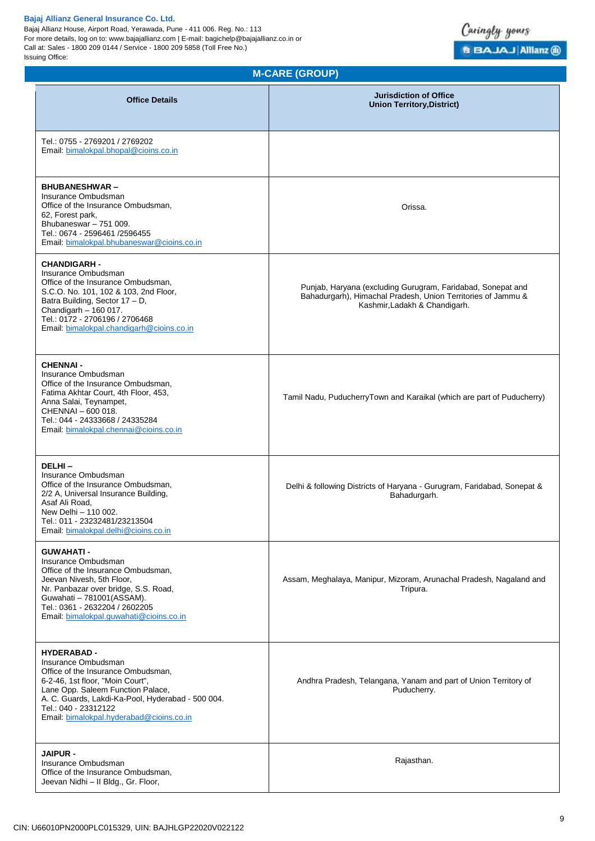Bajaj Allianz House, Airport Road, Yerawada, Pune - 411 006. Reg. No.: 113 For more details, log on to: www.bajajallianz.com | E-mail: bagichelp@bajajallianz.co.in or Call at: Sales - 1800 209 0144 / Service - 1800 209 5858 (Toll Free No.) Issuing Office:



# **M-CARE (GROUP)**

| <b>Office Details</b>                                                                                                                                                                                                                                                             | <b>Jurisdiction of Office</b><br><b>Union Territory, District)</b>                                                                                           |
|-----------------------------------------------------------------------------------------------------------------------------------------------------------------------------------------------------------------------------------------------------------------------------------|--------------------------------------------------------------------------------------------------------------------------------------------------------------|
| Tel.: 0755 - 2769201 / 2769202<br>Email: bimalokpal.bhopal@cioins.co.in                                                                                                                                                                                                           |                                                                                                                                                              |
| <b>BHUBANESHWAR-</b><br>Insurance Ombudsman<br>Office of the Insurance Ombudsman.<br>62, Forest park,<br>Bhubaneswar - 751 009.<br>Tel.: 0674 - 2596461 /2596455<br>Email: bimalokpal.bhubaneswar@cioins.co.in                                                                    | Orissa.                                                                                                                                                      |
| <b>CHANDIGARH -</b><br>Insurance Ombudsman<br>Office of the Insurance Ombudsman,<br>S.C.O. No. 101, 102 & 103, 2nd Floor,<br>Batra Building, Sector 17 - D,<br>Chandigarh - 160 017.<br>Tel.: 0172 - 2706196 / 2706468<br>Email: bimalokpal.chandigarh@cioins.co.in               | Punjab, Haryana (excluding Gurugram, Faridabad, Sonepat and<br>Bahadurgarh), Himachal Pradesh, Union Territories of Jammu &<br>Kashmir, Ladakh & Chandigarh. |
| <b>CHENNAI -</b><br>Insurance Ombudsman<br>Office of the Insurance Ombudsman,<br>Fatima Akhtar Court, 4th Floor, 453,<br>Anna Salai, Teynampet,<br>CHENNAI - 600 018.<br>Tel.: 044 - 24333668 / 24335284<br>Email: bimalokpal.chennai@cioins.co.in                                | Tamil Nadu, PuducherryTown and Karaikal (which are part of Puducherry)                                                                                       |
| DELHI-<br>Insurance Ombudsman<br>Office of the Insurance Ombudsman,<br>2/2 A, Universal Insurance Building,<br>Asaf Ali Road,<br>New Delhi - 110 002.<br>Tel.: 011 - 23232481/23213504<br>Email: bimalokpal.delhi@cioins.co.in                                                    | Delhi & following Districts of Haryana - Gurugram, Faridabad, Sonepat &<br>Bahadurgarh.                                                                      |
| <b>GUWAHATI -</b><br>Insurance Ombudsman<br>Office of the Insurance Ombudsman,<br>Jeevan Nivesh, 5th Floor,<br>Nr. Panbazar over bridge, S.S. Road,<br>Guwahati - 781001(ASSAM).<br>Tel.: 0361 - 2632204 / 2602205<br>Email: bimalokpal.guwahati@cioins.co.in                     | Assam, Meghalaya, Manipur, Mizoram, Arunachal Pradesh, Nagaland and<br>Tripura.                                                                              |
| <b>HYDERABAD -</b><br>Insurance Ombudsman<br>Office of the Insurance Ombudsman,<br>6-2-46, 1st floor, "Moin Court",<br>Lane Opp. Saleem Function Palace,<br>A. C. Guards, Lakdi-Ka-Pool, Hyderabad - 500 004.<br>Tel.: 040 - 23312122<br>Email: bimalokpal.hyderabad@cioins.co.in | Andhra Pradesh, Telangana, Yanam and part of Union Territory of<br>Puducherry.                                                                               |
| <b>JAIPUR -</b><br>Insurance Ombudsman<br>Office of the Insurance Ombudsman,<br>Jeevan Nidhi - Il Bldg., Gr. Floor,                                                                                                                                                               | Rajasthan.                                                                                                                                                   |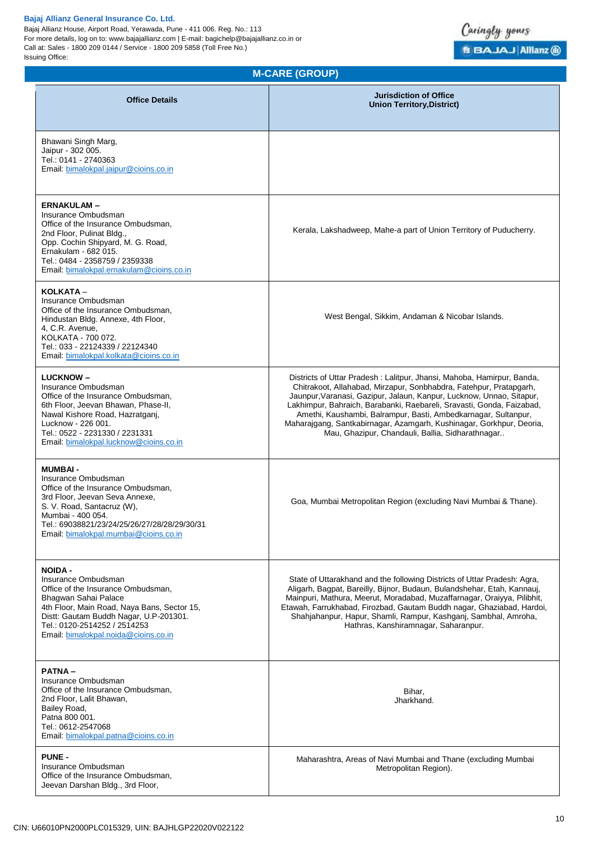Bajaj Allianz House, Airport Road, Yerawada, Pune - 411 006. Reg. No.: 113 For more details, log on to: www.bajajallianz.com | E-mail: bagichelp@bajajallianz.co.in or Call at: Sales - 1800 209 0144 / Service - 1800 209 5858 (Toll Free No.) Issuing Office:



# **M-CARE (GROUP)**

| <b>Office Details</b>                                                                                                                                                                                                                                                | <b>Jurisdiction of Office</b><br><b>Union Territory, District)</b>                                                                                                                                                                                                                                                                                                                                                                                                                          |
|----------------------------------------------------------------------------------------------------------------------------------------------------------------------------------------------------------------------------------------------------------------------|---------------------------------------------------------------------------------------------------------------------------------------------------------------------------------------------------------------------------------------------------------------------------------------------------------------------------------------------------------------------------------------------------------------------------------------------------------------------------------------------|
| Bhawani Singh Marg,<br>Jaipur - 302 005.<br>Tel.: 0141 - 2740363<br>Email: bimalokpal.jaipur@cioins.co.in                                                                                                                                                            |                                                                                                                                                                                                                                                                                                                                                                                                                                                                                             |
| <b>ERNAKULAM-</b><br>Insurance Ombudsman<br>Office of the Insurance Ombudsman,<br>2nd Floor, Pulinat Bldg.,<br>Opp. Cochin Shipyard, M. G. Road,<br>Ernakulam - 682 015.<br>Tel.: 0484 - 2358759 / 2359338<br>Email: bimalokpal.ernakulam@cioins.co.in               | Kerala, Lakshadweep, Mahe-a part of Union Territory of Puducherry.                                                                                                                                                                                                                                                                                                                                                                                                                          |
| KOLKATA -<br>Insurance Ombudsman<br>Office of the Insurance Ombudsman,<br>Hindustan Bldg. Annexe, 4th Floor,<br>4, C.R. Avenue,<br>KOLKATA - 700 072.<br>Tel.: 033 - 22124339 / 22124340<br>Email: bimalokpal.kolkata@cioins.co.in                                   | West Bengal, Sikkim, Andaman & Nicobar Islands.                                                                                                                                                                                                                                                                                                                                                                                                                                             |
| <b>LUCKNOW-</b><br>Insurance Ombudsman<br>Office of the Insurance Ombudsman,<br>6th Floor, Jeevan Bhawan, Phase-II,<br>Nawal Kishore Road, Hazratganj,<br>Lucknow - 226 001.<br>Tel.: 0522 - 2231330 / 2231331<br>Email: bimalokpal.lucknow@cioins.co.in             | Districts of Uttar Pradesh: Lalitpur, Jhansi, Mahoba, Hamirpur, Banda,<br>Chitrakoot, Allahabad, Mirzapur, Sonbhabdra, Fatehpur, Pratapgarh,<br>Jaunpur, Varanasi, Gazipur, Jalaun, Kanpur, Lucknow, Unnao, Sitapur,<br>Lakhimpur, Bahraich, Barabanki, Raebareli, Sravasti, Gonda, Faizabad,<br>Amethi, Kaushambi, Balrampur, Basti, Ambedkarnagar, Sultanpur,<br>Maharajgang, Santkabirnagar, Azamgarh, Kushinagar, Gorkhpur, Deoria,<br>Mau, Ghazipur, Chandauli, Ballia, Sidharathnagar |
| <b>MUMBAI-</b><br>Insurance Ombudsman<br>Office of the Insurance Ombudsman,<br>3rd Floor, Jeevan Seva Annexe,<br>S. V. Road, Santacruz (W),<br>Mumbai - 400 054.<br>Tel.: 69038821/23/24/25/26/27/28/28/29/30/31<br>Email: bimalokpal.mumbai@cioins.co.in            | Goa, Mumbai Metropolitan Region (excluding Navi Mumbai & Thane).                                                                                                                                                                                                                                                                                                                                                                                                                            |
| <b>NOIDA -</b><br>Insurance Ombudsman<br>Office of the Insurance Ombudsman,<br>Bhagwan Sahai Palace<br>4th Floor, Main Road, Naya Bans, Sector 15,<br>Distt: Gautam Buddh Nagar, U.P-201301.<br>Tel.: 0120-2514252 / 2514253<br>Email: bimalokpal.noida@cioins.co.in | State of Uttarakhand and the following Districts of Uttar Pradesh: Agra,<br>Aligarh, Bagpat, Bareilly, Bijnor, Budaun, Bulandshehar, Etah, Kannauj,<br>Mainpuri, Mathura, Meerut, Moradabad, Muzaffarnagar, Oraiyya, Pilibhit,<br>Etawah, Farrukhabad, Firozbad, Gautam Buddh nagar, Ghaziabad, Hardoi,<br>Shahjahanpur, Hapur, Shamli, Rampur, Kashganj, Sambhal, Amroha,<br>Hathras, Kanshiramnagar, Saharanpur.                                                                          |
| <b>PATNA-</b><br>Insurance Ombudsman<br>Office of the Insurance Ombudsman,<br>2nd Floor, Lalit Bhawan,<br>Bailey Road,<br>Patna 800 001.<br>Tel.: 0612-2547068<br>Email: bimalokpal.patna@cioins.co.in                                                               | Bihar,<br>Jharkhand.                                                                                                                                                                                                                                                                                                                                                                                                                                                                        |
| <b>PUNE -</b><br>Insurance Ombudsman<br>Office of the Insurance Ombudsman,<br>Jeevan Darshan Bldg., 3rd Floor,                                                                                                                                                       | Maharashtra, Areas of Navi Mumbai and Thane (excluding Mumbai<br>Metropolitan Region).                                                                                                                                                                                                                                                                                                                                                                                                      |